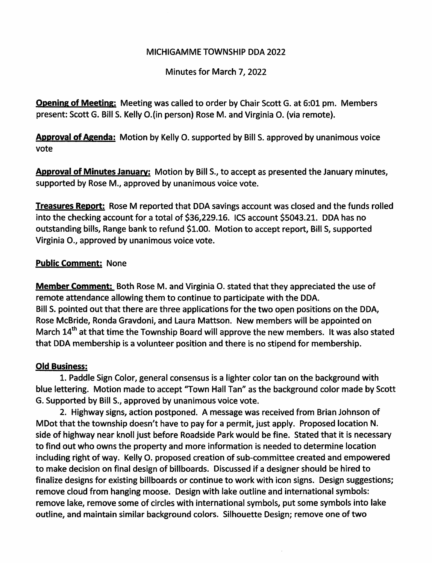## MICHIGAMME TOWNSHIP DDA 2022

Minutes for March 7, 2022

**Opening of Meeting:** Meeting was called to order by Chair Scott G. at 6:01 pm. Members present: Scott G. Bill S. Kelly 0.(in person) Rose M. and Virginia 0. (via remote).

Approval of Agenda: Motion by Kelly O. supported by Bill S. approved by unanimous voice vote

Approval of Minutes January: Motion by Bill S., to accept as presented the January minutes, supported by Rose M., approved by unanimous voice vote.

Treasures Report: Rose M reported that DDA savings account was closed and the funds rolled into the checking account for a total of \$36,229.16. ICS account \$5043.21. DDA has no outstanding bills. Range bank to refund \$1.00. Motion to accept report. Bill S, supported Virginia 0., approved by unanimous voice vote.

## Public Comment: None

Member Comment: Both Rose M. and Virginia O. stated that they appreciated the use of remote attendance allowing them to continue to participate with the DDA. Bill S. pointed out that there are three applications for the two open positions on the DDA, Rose McBride, Ronda Gravdoni, and Laura Mattson. New members will be appointed on March 14<sup>th</sup> at that time the Township Board will approve the new members. It was also stated that DDA membership is a volunteer position and there is no stipend for membership.

## Old Business:

1. Paddle Sign Color, general consensus is a lighter color tan on the background with blue lettering. Motion made to accept "Town Hall Tan" as the background color made by Scott G. Supported by Bill S., approved by unanimous voice vote.

2. Highway signs, action postponed. A message was received from Brian Johnson of MDot that the township doesn't have to pay for a permit, just apply. Proposed location N. side of highway near knoll just before Roadside Park would be fine. Stated that it is necessary to find out who owns the property and more information is needed to determine location including right of way. Kelly O. proposed creation of sub-committee created and empowered to make decision on final design of billboards. Discussed if a designer should be hired to finalize designs for existing billboards or continue to work with icon signs. Design suggestions; remove cloud from hanging moose. Design with lake outline and international symbols: remove lake, remove some of circles with international symbols, put some symbols into lake outline, and maintain similar background colors. Silhouette Design; remove one of two